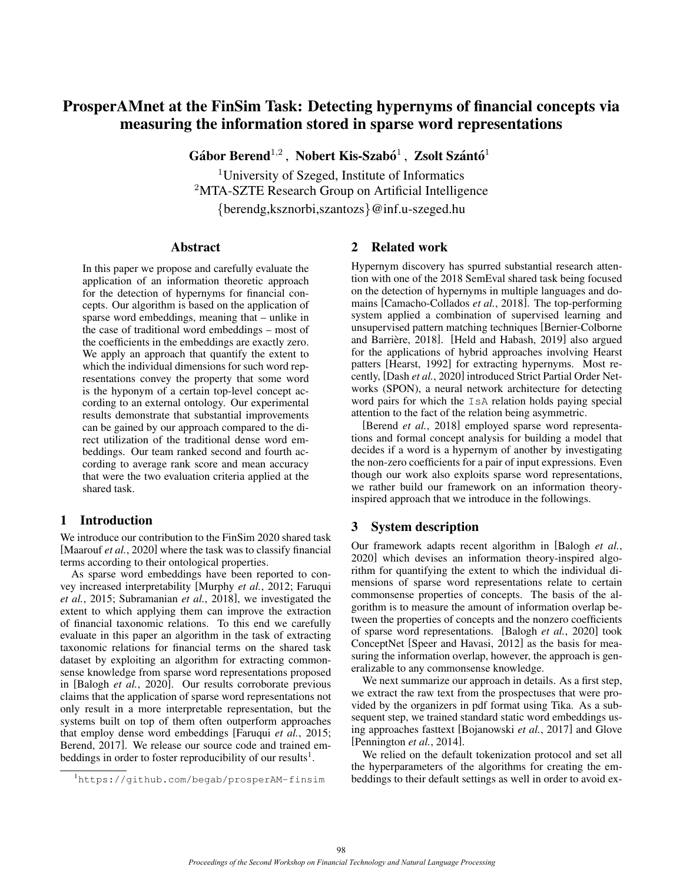# ProsperAMnet at the FinSim Task: Detecting hypernyms of financial concepts via measuring the information stored in sparse word representations

Gábor Berend $^{1,2}$ , Nobert Kis-Szabó $^1$ , Zsolt Szántó $^1$ 

<sup>1</sup>University of Szeged, Institute of Informatics <sup>2</sup>MTA-SZTE Research Group on Artificial Intelligence {berendg,ksznorbi,szantozs}@inf.u-szeged.hu

### Abstract

In this paper we propose and carefully evaluate the application of an information theoretic approach for the detection of hypernyms for financial concepts. Our algorithm is based on the application of sparse word embeddings, meaning that – unlike in the case of traditional word embeddings – most of the coefficients in the embeddings are exactly zero. We apply an approach that quantify the extent to which the individual dimensions for such word representations convey the property that some word is the hyponym of a certain top-level concept according to an external ontology. Our experimental results demonstrate that substantial improvements can be gained by our approach compared to the direct utilization of the traditional dense word embeddings. Our team ranked second and fourth according to average rank score and mean accuracy that were the two evaluation criteria applied at the shared task.

### 1 Introduction

We introduce our contribution to the FinSim 2020 shared task [\[Maarouf](#page-5-0) *et al.*, 2020] where the task was to classify financial terms according to their ontological properties.

As sparse word embeddings have been reported to convey increased interpretability [\[Murphy](#page-5-1) *et al.*, 2012; [Faruqui](#page-5-2) *et al.*[, 2015;](#page-5-2) [Subramanian](#page-5-3) *et al.*, 2018], we investigated the extent to which applying them can improve the extraction of financial taxonomic relations. To this end we carefully evaluate in this paper an algorithm in the task of extracting taxonomic relations for financial terms on the shared task dataset by exploiting an algorithm for extracting commonsense knowledge from sparse word representations proposed in [\[Balogh](#page-4-0) *et al.*, 2020]. Our results corroborate previous claims that the application of sparse word representations not only result in a more interpretable representation, but the systems built on top of them often outperform approaches that employ dense word embeddings [\[Faruqui](#page-5-2) *et al.*, 2015; [Berend, 2017\]](#page-5-4). We release our source code and trained em-beddings in order to foster reproducibility of our results<sup>[1](#page-0-0)</sup>.

## 2 Related work

Hypernym discovery has spurred substantial research attention with one of the 2018 SemEval shared task being focused on the detection of hypernyms in multiple languages and domains [\[Camacho-Collados](#page-5-5) *et al.*, 2018]. The top-performing system applied a combination of supervised learning and unsupervised pattern matching techniques [\[Bernier-Colborne](#page-5-6) and Barrière, 2018]. [\[Held and Habash, 2019\]](#page-5-7) also argued for the applications of hybrid approaches involving Hearst patters [\[Hearst, 1992\]](#page-5-8) for extracting hypernyms. Most recently, [Dash *et al.*[, 2020\]](#page-5-9) introduced Strict Partial Order Networks (SPON), a neural network architecture for detecting word pairs for which the IsA relation holds paying special attention to the fact of the relation being asymmetric.

[\[Berend](#page-4-1) *et al.*, 2018] employed sparse word representations and formal concept analysis for building a model that decides if a word is a hypernym of another by investigating the non-zero coefficients for a pair of input expressions. Even though our work also exploits sparse word representations, we rather build our framework on an information theoryinspired approach that we introduce in the followings.

## 3 System description

Our framework adapts recent algorithm in [\[Balogh](#page-4-0) *et al.*, [2020\]](#page-4-0) which devises an information theory-inspired algorithm for quantifying the extent to which the individual dimensions of sparse word representations relate to certain commonsense properties of concepts. The basis of the algorithm is to measure the amount of information overlap between the properties of concepts and the nonzero coefficients of sparse word representations. [\[Balogh](#page-4-0) *et al.*, 2020] took ConceptNet [\[Speer and Havasi, 2012\]](#page-5-10) as the basis for measuring the information overlap, however, the approach is generalizable to any commonsense knowledge.

We next summarize our approach in details. As a first step, we extract the raw text from the prospectuses that were provided by the organizers in pdf format using Tika. As a subsequent step, we trained standard static word embeddings using approaches fasttext [\[Bojanowski](#page-5-11) *et al.*, 2017] and Glove [\[Pennington](#page-5-12) *et al.*, 2014].

We relied on the default tokenization protocol and set all the hyperparameters of the algorithms for creating the embeddings to their default settings as well in order to avoid ex-

<span id="page-0-0"></span><sup>1</sup><https://github.com/begab/prosperAM-finsim>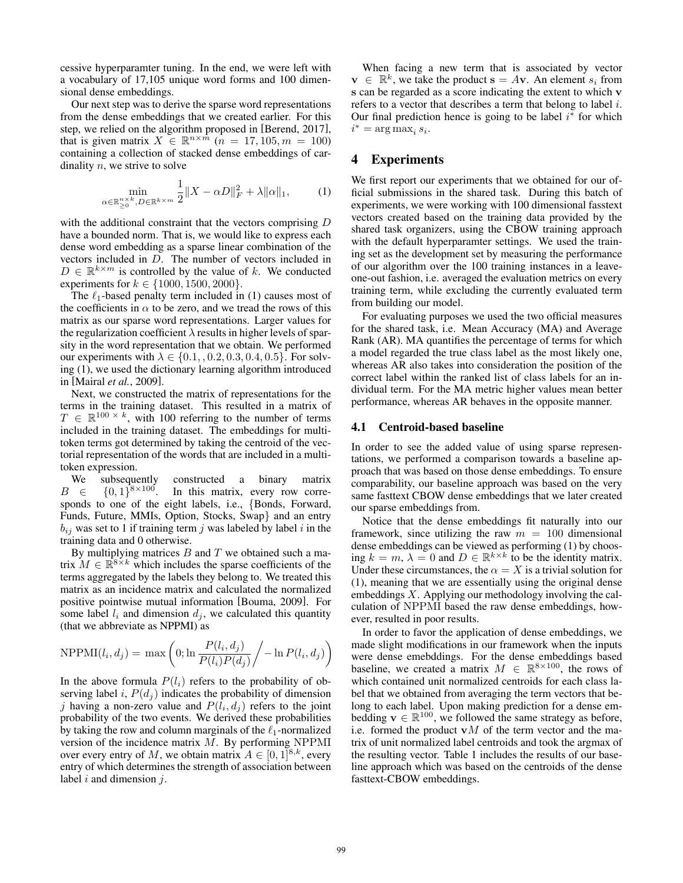cessive hyperparamter tuning. In the end, we were left with a vocabulary of 17,105 unique word forms and 100 dimensional dense embeddings.

Our next step was to derive the sparse word representations from the dense embeddings that we created earlier. For this step, we relied on the algorithm proposed in [\[Berend, 2017\]](#page-5-4), that is given matrix  $X \in \mathbb{R}^{n \times m}$   $(n = 17, 105, m = 100)$ containing a collection of stacked dense embeddings of cardinality  $n$ , we strive to solve

<span id="page-1-0"></span>
$$
\min_{\alpha \in \mathbb{R}_{>0}^{n \times k}, D \in \mathbb{R}^{k \times m}} \frac{1}{2} \|X - \alpha D\|_{F}^{2} + \lambda \|\alpha\|_{1},\tag{1}
$$

with the additional constraint that the vectors comprising D have a bounded norm. That is, we would like to express each dense word embedding as a sparse linear combination of the vectors included in D. The number of vectors included in  $D \in \mathbb{R}^{k \times m}$  is controlled by the value of k. We conducted experiments for  $k \in \{1000, 1500, 2000\}.$ 

The  $\ell_1$ -based penalty term included in [\(1\)](#page-1-0) causes most of the coefficients in  $\alpha$  to be zero, and we tread the rows of this matrix as our sparse word representations. Larger values for the regularization coefficient  $\lambda$  results in higher levels of sparsity in the word representation that we obtain. We performed our experiments with  $\lambda \in \{0.1, 0.2, 0.3, 0.4, 0.5\}$ . For solving [\(1\)](#page-1-0), we used the dictionary learning algorithm introduced in [\[Mairal](#page-5-13) *et al.*, 2009].

Next, we constructed the matrix of representations for the terms in the training dataset. This resulted in a matrix of  $T \in \mathbb{R}^{100 \times k}$ , with 100 referring to the number of terms included in the training dataset. The embeddings for multitoken terms got determined by taking the centroid of the vectorial representation of the words that are included in a multitoken expression.

We subsequently constructed a binary matrix  $B \in \{0,1\}^{8 \times 100}.$ In this matrix, every row corresponds to one of the eight labels, i.e., {Bonds, Forward, Funds, Future, MMIs, Option, Stocks, Swap} and an entry  $b_{ij}$  was set to 1 if training term j was labeled by label i in the training data and 0 otherwise.

By multiplying matrices  $B$  and  $T$  we obtained such a matrix  $M \in \mathbb{R}^{8 \times k}$  which includes the sparse coefficients of the terms aggregated by the labels they belong to. We treated this matrix as an incidence matrix and calculated the normalized positive pointwise mutual information [\[Bouma, 2009\]](#page-5-14). For some label  $l_i$  and dimension  $d_j$ , we calculated this quantity (that we abbreviate as NPPMI) as

$$
NPPMI(l_i, d_j) = \max\left(0; \ln \frac{P(l_i, d_j)}{P(l_i)P(d_j)} / -\ln P(l_i, d_j)\right)
$$

In the above formula  $P(l_i)$  refers to the probability of observing label i,  $P(d_i)$  indicates the probability of dimension j having a non-zero value and  $P(l_i, d_j)$  refers to the joint probability of the two events. We derived these probabilities by taking the row and column marginals of the  $\ell_1$ -normalized version of the incidence matrix M. By performing NPPMI over every entry of M, we obtain matrix  $A \in [0,1]^{8,k}$ , every entry of which determines the strength of association between label  $i$  and dimension  $j$ .

When facing a new term that is associated by vector  $\mathbf{v} \in \mathbb{R}^k$ , we take the product  $\mathbf{s} = A\mathbf{v}$ . An element  $s_i$  from s can be regarded as a score indicating the extent to which v refers to a vector that describes a term that belong to label i. Our final prediction hence is going to be label  $i^*$  for which  $i^* = \arg \max_i s_i.$ 

## 4 Experiments

We first report our experiments that we obtained for our official submissions in the shared task. During this batch of experiments, we were working with 100 dimensional fasstext vectors created based on the training data provided by the shared task organizers, using the CBOW training approach with the default hyperparamter settings. We used the training set as the development set by measuring the performance of our algorithm over the 100 training instances in a leaveone-out fashion, i.e. averaged the evaluation metrics on every training term, while excluding the currently evaluated term from building our model.

For evaluating purposes we used the two official measures for the shared task, i.e. Mean Accuracy (MA) and Average Rank (AR). MA quantifies the percentage of terms for which a model regarded the true class label as the most likely one, whereas AR also takes into consideration the position of the correct label within the ranked list of class labels for an individual term. For the MA metric higher values mean better performance, whereas AR behaves in the opposite manner.

#### 4.1 Centroid-based baseline

In order to see the added value of using sparse representations, we performed a comparison towards a baseline approach that was based on those dense embeddings. To ensure comparability, our baseline approach was based on the very same fasttext CBOW dense embeddings that we later created our sparse embeddings from.

Notice that the dense embeddings fit naturally into our framework, since utilizing the raw  $m = 100$  dimensional dense embeddings can be viewed as performing [\(1\)](#page-1-0) by choosing  $k = m$ ,  $\lambda = 0$  and  $D \in \mathbb{R}^{k \times k}$  to be the identity matrix. Under these circumstances, the  $\alpha = X$  is a trivial solution for [\(1\)](#page-1-0), meaning that we are essentially using the original dense embeddings X. Applying our methodology involving the calculation of NPPMI based the raw dense embeddings, however, resulted in poor results.

In order to favor the application of dense embeddings, we made slight modifications in our framework when the inputs were dense emebddings. For the dense embeddings based baseline, we created a matrix  $M \in \mathbb{R}^{8 \times 100}$ , the rows of which contained unit normalized centroids for each class label that we obtained from averaging the term vectors that belong to each label. Upon making prediction for a dense embedding  $\mathbf{v} \in \mathbb{R}^{100}$ , we followed the same strategy as before, i.e. formed the product  $vM$  of the term vector and the matrix of unit normalized label centroids and took the argmax of the resulting vector. Table [1](#page-2-0) includes the results of our baseline approach which was based on the centroids of the dense fasttext-CBOW embeddings.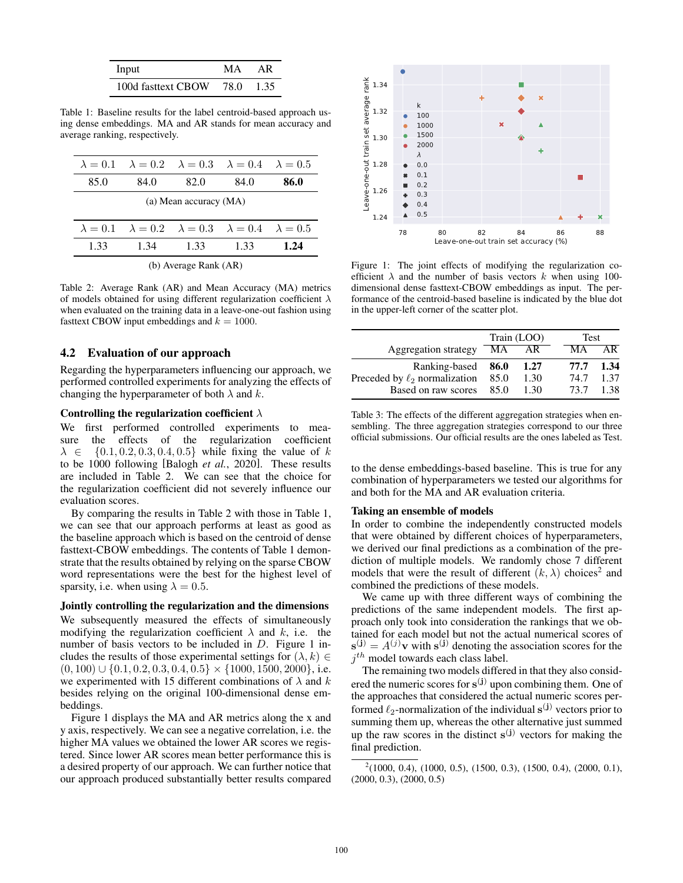<span id="page-2-0"></span>

| Input              | MА   | AR    |
|--------------------|------|-------|
| 100d fasttext CBOW | 78.0 | -1.35 |

Table 1: Baseline results for the label centroid-based approach using dense embeddings. MA and AR stands for mean accuracy and average ranking, respectively.

<span id="page-2-1"></span>

|                        |      |      | $\lambda = 0.1$ $\lambda = 0.2$ $\lambda = 0.3$ $\lambda = 0.4$ $\lambda = 0.5$ |      |  |  |
|------------------------|------|------|---------------------------------------------------------------------------------|------|--|--|
| 85.0                   | 84.0 | 82.0 | 84.0                                                                            | 86.0 |  |  |
| (a) Mean accuracy (MA) |      |      |                                                                                 |      |  |  |
|                        |      |      |                                                                                 |      |  |  |
|                        |      |      | $\lambda = 0.1$ $\lambda = 0.2$ $\lambda = 0.3$ $\lambda = 0.4$ $\lambda = 0.5$ |      |  |  |
| 1.33                   | 1.34 | 1.33 | 1.33                                                                            | 1.24 |  |  |
|                        |      |      |                                                                                 |      |  |  |

(b) Average Rank (AR)

Table 2: Average Rank (AR) and Mean Accuracy (MA) metrics of models obtained for using different regularization coefficient  $\lambda$ when evaluated on the training data in a leave-one-out fashion using fasttext CBOW input embeddings and  $k = 1000$ .

### 4.2 Evaluation of our approach

Regarding the hyperparameters influencing our approach, we performed controlled experiments for analyzing the effects of changing the hyperparameter of both  $\lambda$  and  $k$ .

#### Controlling the regularization coefficient  $\lambda$

We first performed controlled experiments to measure the effects of the regularization coefficient  $\lambda \in \{0.1, 0.2, 0.3, 0.4, 0.5\}$  while fixing the value of k to be 1000 following [\[Balogh](#page-4-0) *et al.*, 2020]. These results are included in Table [2.](#page-2-1) We can see that the choice for the regularization coefficient did not severely influence our evaluation scores.

By comparing the results in Table [2](#page-2-1) with those in Table [1,](#page-2-0) we can see that our approach performs at least as good as the baseline approach which is based on the centroid of dense fasttext-CBOW embeddings. The contents of Table [1](#page-2-0) demonstrate that the results obtained by relying on the sparse CBOW word representations were the best for the highest level of sparsity, i.e. when using  $\lambda = 0.5$ .

Jointly controlling the regularization and the dimensions

We subsequently measured the effects of simultaneously modifying the regularization coefficient  $\lambda$  and  $k$ , i.e. the number of basis vectors to be included in D. Figure [1](#page-2-2) includes the results of those experimental settings for  $(\lambda, k) \in$  $(0, 100) \cup \{0.1, 0.2, 0.3, 0.4, 0.5\} \times \{1000, 1500, 2000\}$ , i.e. we experimented with 15 different combinations of  $\lambda$  and  $k$ besides relying on the original 100-dimensional dense embeddings.

Figure [1](#page-2-2) displays the MA and AR metrics along the x and y axis, respectively. We can see a negative correlation, i.e. the higher MA values we obtained the lower AR scores we registered. Since lower AR scores mean better performance this is a desired property of our approach. We can further notice that our approach produced substantially better results compared

<span id="page-2-2"></span>

Figure 1: The joint effects of modifying the regularization coefficient  $\lambda$  and the number of basis vectors k when using 100dimensional dense fasttext-CBOW embeddings as input. The performance of the centroid-based baseline is indicated by the blue dot in the upper-left corner of the scatter plot.

<span id="page-2-4"></span>

|                                    | Train (LOO) |      |      | <b>Test</b> |  |
|------------------------------------|-------------|------|------|-------------|--|
| Aggregation strategy               | МA          | AR   | MА   | ΑR          |  |
| Ranking-based                      | 86.0        | 1.27 | 77.7 | 1.34        |  |
| Preceded by $\ell_2$ normalization | 85.0        | 1.30 | 74.7 | 1.37        |  |
| Based on raw scores                | 85.0        | 130  | 73.7 | 1.38        |  |

Table 3: The effects of the different aggregation strategies when ensembling. The three aggregation strategies correspond to our three official submissions. Our official results are the ones labeled as Test.

to the dense embeddings-based baseline. This is true for any combination of hyperparameters we tested our algorithms for and both for the MA and AR evaluation criteria.

#### Taking an ensemble of models

In order to combine the independently constructed models that were obtained by different choices of hyperparameters, we derived our final predictions as a combination of the prediction of multiple models. We randomly chose 7 different models that were the result of different  $(k, \lambda)$  choices<sup>[2](#page-2-3)</sup> and combined the predictions of these models.

We came up with three different ways of combining the predictions of the same independent models. The first approach only took into consideration the rankings that we obtained for each model but not the actual numerical scores of  $\mathbf{s}^{(j)} = A^{(j)}\mathbf{v}$  with  $\mathbf{s}^{(j)}$  denoting the association scores for the  $j<sup>th</sup>$  model towards each class label.

The remaining two models differed in that they also considered the numeric scores for  $s^{(j)}$  upon combining them. One of the approaches that considered the actual numeric scores performed  $\ell_2$ -normalization of the individual  $s^{(j)}$  vectors prior to summing them up, whereas the other alternative just summed up the raw scores in the distinct  $s^{(j)}$  vectors for making the final prediction.

<span id="page-2-3"></span> $^{2}(1000, 0.4)$ ,  $(1000, 0.5)$ ,  $(1500, 0.3)$ ,  $(1500, 0.4)$ ,  $(2000, 0.1)$ , (2000, 0.3), (2000, 0.5)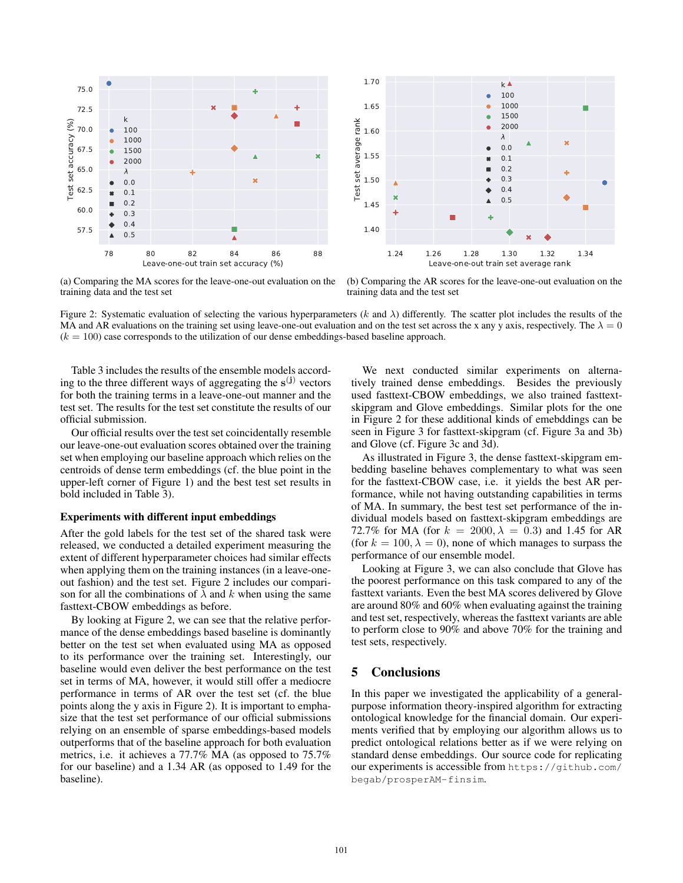<span id="page-3-0"></span>

(a) Comparing the MA scores for the leave-one-out evaluation on the training data and the test set



(b) Comparing the AR scores for the leave-one-out evaluation on the training data and the test set

Figure 2: Systematic evaluation of selecting the various hyperparameters  $(k \text{ and } \lambda)$  differently. The scatter plot includes the results of the MA and AR evaluations on the training set using leave-one-out evaluation and on the test set across the x any y axis, respectively. The  $\lambda = 0$  $(k = 100)$  case corresponds to the utilization of our dense embeddings-based baseline approach.

Table [3](#page-2-4) includes the results of the ensemble models according to the three different ways of aggregating the  $s^{(j)}$  vectors for both the training terms in a leave-one-out manner and the test set. The results for the test set constitute the results of our official submission.

Our official results over the test set coincidentally resemble our leave-one-out evaluation scores obtained over the training set when employing our baseline approach which relies on the centroids of dense term embeddings (cf. the blue point in the upper-left corner of Figure [1\)](#page-2-2) and the best test set results in bold included in Table [3\)](#page-2-4).

#### Experiments with different input embeddings

After the gold labels for the test set of the shared task were released, we conducted a detailed experiment measuring the extent of different hyperparameter choices had similar effects when applying them on the training instances (in a leave-oneout fashion) and the test set. Figure [2](#page-3-0) includes our comparison for all the combinations of  $\lambda$  and k when using the same fasttext-CBOW embeddings as before.

By looking at Figure [2,](#page-3-0) we can see that the relative performance of the dense embeddings based baseline is dominantly better on the test set when evaluated using MA as opposed to its performance over the training set. Interestingly, our baseline would even deliver the best performance on the test set in terms of MA, however, it would still offer a mediocre performance in terms of AR over the test set (cf. the blue points along the y axis in Figure [2\)](#page-3-0). It is important to emphasize that the test set performance of our official submissions relying on an ensemble of sparse embeddings-based models outperforms that of the baseline approach for both evaluation metrics, i.e. it achieves a 77.7% MA (as opposed to 75.7% for our baseline) and a 1.34 AR (as opposed to 1.49 for the baseline).

We next conducted similar experiments on alternatively trained dense embeddings. Besides the previously used fasttext-CBOW embeddings, we also trained fasttextskipgram and Glove embeddings. Similar plots for the one in Figure [2](#page-3-0) for these additional kinds of emebddings can be seen in Figure [3](#page-4-2) for fasttext-skipgram (cf. Figure [3a](#page-4-3) and [3b\)](#page-4-4) and Glove (cf. Figure [3c](#page-4-5) and [3d\)](#page-4-6).

As illustrated in Figure [3,](#page-4-2) the dense fasttext-skipgram embedding baseline behaves complementary to what was seen for the fasttext-CBOW case, i.e. it yields the best AR performance, while not having outstanding capabilities in terms of MA. In summary, the best test set performance of the individual models based on fasttext-skipgram embeddings are 72.7% for MA (for  $k = 2000, \lambda = 0.3$ ) and 1.45 for AR (for  $k = 100, \lambda = 0$ ), none of which manages to surpass the performance of our ensemble model.

Looking at Figure [3,](#page-4-2) we can also conclude that Glove has the poorest performance on this task compared to any of the fasttext variants. Even the best MA scores delivered by Glove are around 80% and 60% when evaluating against the training and test set, respectively, whereas the fasttext variants are able to perform close to 90% and above 70% for the training and test sets, respectively.

### 5 Conclusions

In this paper we investigated the applicability of a generalpurpose information theory-inspired algorithm for extracting ontological knowledge for the financial domain. Our experiments verified that by employing our algorithm allows us to predict ontological relations better as if we were relying on standard dense embeddings. Our source code for replicating our experiments is accessible from [https://github.com/](https://github.com/begab/prosperAM-finsim) [begab/prosperAM-finsim](https://github.com/begab/prosperAM-finsim).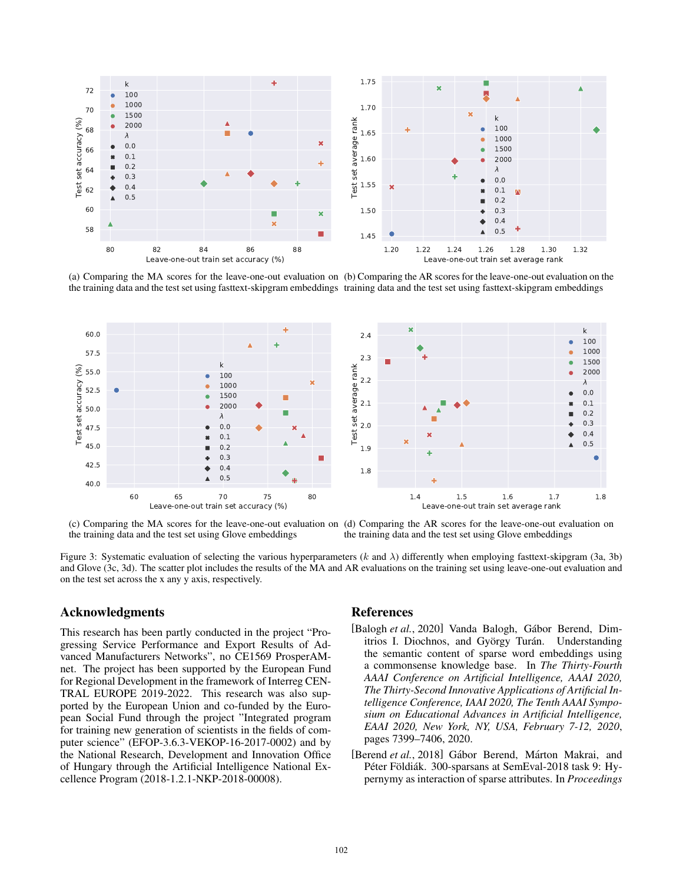<span id="page-4-3"></span><span id="page-4-2"></span>

<span id="page-4-4"></span>(a) Comparing the MA scores for the leave-one-out evaluation on (b) Comparing the AR scores for the leave-one-out evaluation on the the training data and the test set using fasttext-skipgram embeddings training data and the test set using fasttext-skipgram embeddings

<span id="page-4-5"></span>

(c) Comparing the MA scores for the leave-one-out evaluation on (d) Comparing the AR scores for the leave-one-out evaluation on the training data and the test set using Glove embeddings the training data and the test set using Glove embeddings

Figure 3: Systematic evaluation of selecting the various hyperparameters (k and λ) differently when employing fasttext-skipgram [\(3a,](#page-4-3) [3b\)](#page-4-4) and Glove [\(3c,](#page-4-5) [3d\)](#page-4-6). The scatter plot includes the results of the MA and AR evaluations on the training set using leave-one-out evaluation and on the test set across the x any y axis, respectively.

### Acknowledgments

This research has been partly conducted in the project "Progressing Service Performance and Export Results of Advanced Manufacturers Networks", no CE1569 ProsperAMnet. The project has been supported by the European Fund for Regional Development in the framework of Interreg CEN-TRAL EUROPE 2019-2022. This research was also supported by the European Union and co-funded by the European Social Fund through the project "Integrated program for training new generation of scientists in the fields of computer science" (EFOP-3.6.3-VEKOP-16-2017-0002) and by the National Research, Development and Innovation Office of Hungary through the Artificial Intelligence National Excellence Program (2018-1.2.1-NKP-2018-00008).

### <span id="page-4-6"></span>References

- <span id="page-4-0"></span>[Balogh *et al.*, 2020] Vanda Balogh, Gábor Berend, Dimitrios I. Diochnos, and György Turán. Understanding the semantic content of sparse word embeddings using a commonsense knowledge base. In *The Thirty-Fourth AAAI Conference on Artificial Intelligence, AAAI 2020, The Thirty-Second Innovative Applications of Artificial Intelligence Conference, IAAI 2020, The Tenth AAAI Symposium on Educational Advances in Artificial Intelligence, EAAI 2020, New York, NY, USA, February 7-12, 2020*, pages 7399–7406, 2020.
- <span id="page-4-1"></span>[Berend et al., 2018] Gábor Berend, Márton Makrai, and Péter Földiák. 300-sparsans at SemEval-2018 task 9: Hypernymy as interaction of sparse attributes. In *Proceedings*